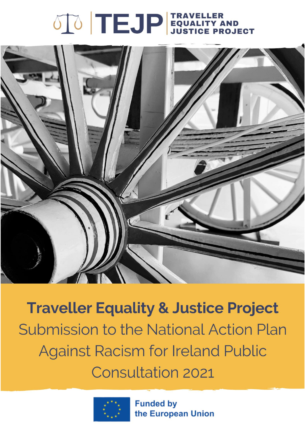# 



**Traveller Equality & Justice Project** Submission to the National Action Plan **Against Racism for Ireland Public Consultation 2021** 



**Funded by** the European Union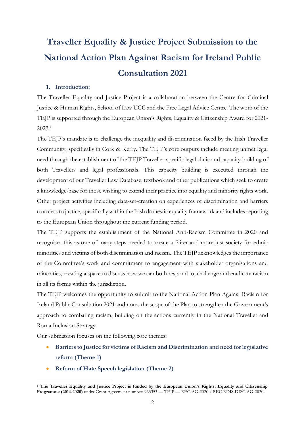## **Traveller Equality & Justice Project Submission to the National Action Plan Against Racism for Ireland Public Consultation 2021**

## **1. Introduction:**

The Traveller Equality and Justice Project is a collaboration between the Centre for Criminal Justice & Human Rights, School of Law UCC and the Free Legal Advice Centre. The work of the TEJP is supported through the European Union's Rights, Equality & Citizenship Award for 2021-  $2023.<sup>1</sup>$ 

The TEJP's mandate is to challenge the inequality and discrimination faced by the Irish Traveller Community, specifically in Cork & Kerry. The TEJP's core outputs include meeting unmet legal need through the establishment of the TEJP Traveller-specific legal clinic and capacity-building of both Travellers and legal professionals. This capacity building is executed through the development of our Traveller Law Database, textbook and other publications which seek to create a knowledge-base for those wishing to extend their practice into equality and minority rights work. Other project activities including data-set-creation on experiences of discrimination and barriers to access to justice, specifically within the Irish domestic equality framework and includes reporting to the European Union throughout the current funding period.

The TEJP supports the establishment of the National Anti-Racism Committee in 2020 and recognises this as one of many steps needed to create a fairer and more just society for ethnic minorities and victims of both discrimination and racism. The TEJP acknowledges the importance of the Committee's work and commitment to engagement with stakeholder organisations and minorities, creating a space to discuss how we can both respond to, challenge and eradicate racism in all its forms within the jurisdiction.

The TEJP welcomes the opportunity to submit to the National Action Plan Against Racism for Ireland Public Consultation 2021 and notes the scope of the Plan to strengthen the Government's approach to combating racism, building on the actions currently in the National Traveller and Roma Inclusion Strategy.

Our submission focuses on the following core themes:

- **Barriers to Justice for victims of Racism and Discrimination and need for legislative reform (Theme 1)**
- **Reform of Hate Speech legislation (Theme 2)**

<sup>1</sup> **The Traveller Equality and Justice Project is funded by the European Union's Rights, Equality and Citizenship Programme (2014-2020)** under Grant Agreement number: 963353 — TEJP — REC-AG-2020 / REC-RDIS-DISC-AG-2020**.**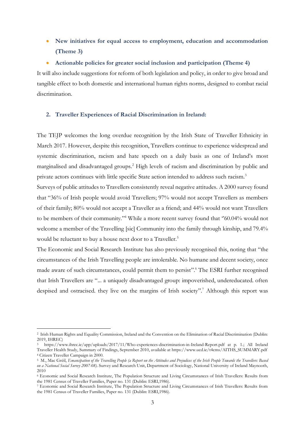- **New initiatives for equal access to employment, education and accommodation (Theme 3)**
- **Actionable policies for greater social inclusion and participation (Theme 4)**

It will also include suggestions for reform of both legislation and policy, in order to give broad and tangible effect to both domestic and international human rights norms, designed to combat racial discrimination.

## **2. Traveller Experiences of Racial Discrimination in Ireland:**

The TEJP welcomes the long overdue recognition by the Irish State of Traveller Ethnicity in March 2017. However, despite this recognition, Travellers continue to experience widespread and systemic discrimination, racism and hate speech on a daily basis as one of Ireland's most marginalised and disadvantaged groups.<sup>2</sup> High levels of racism and discrimination by public and private actors continues with little specific State action intended to address such racism.<sup>3</sup>

Surveys of public attitudes to Travellers consistently reveal negative attitudes. A 2000 survey found that "36% of Irish people would avoid Travellers; 97% would not accept Travellers as members of their family; 80% would not accept a Traveller as a friend; and 44% would not want Travellers to be members of their community."<sup>4</sup> While a more recent survey found that '60.04% would not welcome a member of the Travelling [sic] Community into the family through kinship, and 79.4% would be reluctant to buy a house next door to a Traveller.<sup>5</sup>

The Economic and Social Research Institute has also previously recognised this, noting that "the circumstances of the Irish Travelling people are intolerable. No humane and decent society, once made aware of such circumstances, could permit them to persist". <sup>6</sup> The ESRI further recognised that Irish Travellers are "... a uniquely disadvantaged group: impoverished, undereducated. often despised and ostracised. they live on the margins of Irish society".<sup>7</sup> Although this report was

<sup>2</sup> Irish Human Rights and Equality Commission, Ireland and the Convention on the Elimination of Racial Discrimination (Dublin: 2019, IHREC)

<sup>3</sup> https://www.ihrec.ie/app/uploads/2017/11/Who-experiences-discrimination-in-Ireland-Report.pdf at p. 1.; All Ireland Traveller Health Study, Summary of Findings, September 2010, available at https://www.ucd.ie/t4cms/AITHS\_SUMMARY.pdf <sup>4</sup> Citizen Traveller Campaign in 2000.

<sup>5</sup> M., Mac Gréil, *Emancipation of the Travelling People (a Report on the Attitudes and Prejudices of the Irish People Towards the Travellers: Based on a National Social Survey 2007-08)*. Survey and Research Unit, Department of Sociology, National University of Ireland Maynooth, 2010

<sup>6</sup> Economic and Social Research Institute, The Population Structure and Living Circumstances of Irish Travellers: Results from the 1981 Census of Traveller Families, Paper no. 131 (Dublin: ESRI,1986).

<sup>7</sup> Economic and Social Research Institute, The Population Structure and Living Circumstances of Irish Travellers: Results from the 1981 Census of Traveller Families, Paper no. 131 (Dublin: ESRI,1986).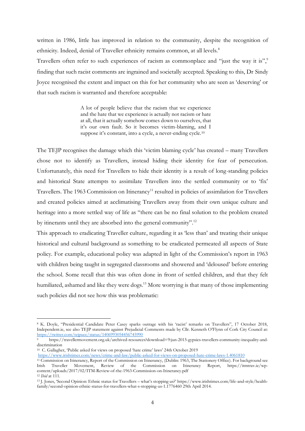written in 1986, little has improved in relation to the community, despite the recognition of ethnicity. Indeed, denial of Traveller ethnicity remains common, at all levels.<sup>8</sup>

Travellers often refer to such experiences of racism as commonplace and "just the way it is", finding that such racist comments are ingrained and societally accepted. Speaking to this, Dr Sindy Joyce recognised the extent and impact on this for her community who are seen as 'deserving' or that such racism is warranted and therefore acceptable:

> A lot of people believe that the racism that we experience and the hate that we experience is actually not racism or hate at all, that it actually somehow comes down to ourselves, that it's our own fault. So it becomes victim-blaming, and I suppose it's constant, into a cycle, a never-ending cycle.<sup>10</sup>

The TEJP recognises the damage which this 'victim blaming cycle' has created – many Travellers chose not to identify as Travellers, instead hiding their identity for fear of persecution. Unfortunately, this need for Travellers to hide their identity is a result of long-standing policies and historical State attempts to assimilate Travellers into the settled community or to 'fix' Travellers. The 1963 Commission on Itinerancy<sup>11</sup> resulted in policies of assimilation for Travellers and created policies aimed at acclimatising Travellers away from their own unique culture and heritage into a more settled way of life as "there can be no final solution to the problem created by itinerants until they are absorbed into the general community".<sup>12</sup>

This approach to eradicating Traveller culture, regarding it as 'less than' and treating their unique historical and cultural background as something to be eradicated permeated all aspects of State policy. For example, educational policy was adapted in light of the Commission's report in 1963 with children being taught in segregated classrooms and showered and 'deloused' before entering the school. Some recall that this was often done in front of settled children, and that they felt humiliated, ashamed and like they were dogs. <sup>13</sup> More worrying is that many of those implementing such policies did not see how this was problematic:

<sup>10</sup> C. Gallagher, 'Public asked for views on proposed 'hate crime' laws' 24th October 2019 <https://www.irishtimes.com/news/crime-and-law/public-asked-for-views-on-proposed-hate-crime-laws-1.4061810>

<sup>8</sup> K. Doyle, "Presidential Candidate Peter Casey sparks outrage with his 'racist' remarks on Travellers", 17 October 2018, Independent.ie, see also TEJP statement against Prejudicial Comments made by Cllr. Kenneth O'Flynn of Cork City Council at: <https://twitter.com/tejpucc/status/1406993054456745990>

<sup>9</sup> https://travellermovement.org.uk/archived-resources?download=9:jun-2015-gypsies-travellers-community-inequality-anddiscrimination

<sup>11</sup> Commission on Itinerancy, Report of the Commission on Itinerancy, (Dublin: 1963, The Stationery Office). For background see Irish Traveller Movement, Review of the Commission on Itinerancy Report, https://itmtrav.ie/wpcontent/uploads/2017/02/ITM-Review-of-the-1963-Commission-on-Itinerancy.pdf <sup>12</sup> *Ibid* at 111.

<sup>13</sup> J. Jones, 'Second Opinion: Ethnic status for Travellers – what's stopping us?' https://www.irishtimes.com/life-and-style/healthfamily/second-opinion-ethnic-status-for-travellers-what-s-stopping-us-1.1776460 29th April 2014.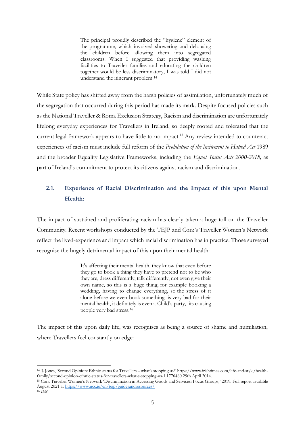The principal proudly described the "hygiene" element of the programme, which involved showering and delousing the children before allowing them into segregated classrooms. When I suggested that providing washing facilities to Traveller families and educating the children together would be less discriminatory, I was told I did not understand the itinerant problem. 14

While State policy has shifted away from the harsh policies of assimilation, unfortunately much of the segregation that occurred during this period has made its mark. Despite focused policies such as the National Traveller & Roma Exclusion Strategy, Racism and discrimination are unfortunately lifelong everyday experiences for Travellers in Ireland, so deeply rooted and tolerated that the current legal framework appears to have little to no impact. <sup>15</sup> Any review intended to counteract experiences of racism must include full reform of the *Prohibition of the Incitement to Hatred Act* 1989 and the broader Equality Legislative Frameworks, including the *Equal Status Acts 2000-2018,* as part of Ireland's commitment to protect its citizens against racism and discrimination.

## **2.1. Experience of Racial Discrimination and the Impact of this upon Mental Health:**

The impact of sustained and proliferating racism has clearly taken a huge toll on the Traveller Community. Recent workshops conducted by the TEJP and Cork's Traveller Women's Network reflect the lived-experience and impact which racial discrimination has in practice. Those surveyed recognise the hugely detrimental impact of this upon their mental health:

> It's affecting their mental health. they know that even before they go to book a thing they have to pretend not to be who they are, dress differently, talk differently, not even give their own name, so this is a huge thing, for example booking a wedding, having to change everything, so the stress of it alone before we even book something is very bad for their mental health, it definitely is even a Child's party, its causing people very bad stress.<sup>16</sup>

The impact of this upon daily life, was recognises as being a source of shame and humiliation, where Travellers feel constantly on edge:

<sup>14</sup> J. Jones, 'Second Opinion: Ethnic status for Travellers – what's stopping us?' https://www.irishtimes.com/life-and-style/healthfamily/second-opinion-ethnic-status-for-travellers-what-s-stopping-us-1.1776460 29th April 2014.

<sup>15</sup> Cork Traveller Women's Network 'Discrimination in Accessing Goods and Services: Focus Groups,' 2019. Full report available August 2021 a[t https://www.ucc.ie/en/tejp/guidesandresources/](https://www.ucc.ie/en/tejp/guidesandresources/) <sup>16</sup> *Ibid*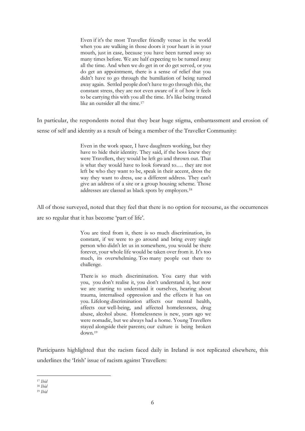Even if it's the most Traveller friendly venue in the world when you are walking in those doors it your heart is in your mouth, just in case, because you have been turned away so many times before. We are half expecting to be turned away all the time. And when we do get in or do get served, or you do get an appointment, there is a sense of relief that you didn't have to go through the humiliation of being turned away again. Settled people don't have to go through this, the constant stress, they are not even aware of it of how it feels to be carrying this with you all the time. It's like being treated like an outsider all the time.<sup>17</sup>

In particular, the respondents noted that they bear huge stigma, embarrassment and erosion of sense of self and identity as a result of being a member of the Traveller Community:

> Even in the work space, I have daughters working, but they have to hide their identity. They said, if the boss knew they were Travellers, they would be left go and thrown out. That is what they would have to look forward to…. they are not left be who they want to be, speak in their accent, dress the way they want to dress, use a different address. They can't give an address of a site or a group housing scheme. Those addresses are classed as black spots by employers.<sup>18</sup>

All of those surveyed, noted that they feel that there is no option for recourse, as the occurrences are so regular that it has become 'part of life'.

> You are tired from it, there is so much discrimination, its constant, if we were to go around and bring every single person who didn't let us in somewhere, you would be there forever, your whole life would be taken over from it. It's too much, its overwhelming. Too many people out there to challenge.

> There is so much discrimination. You carry that with you, you don't realise it, you don't understand it, but now we are starting to understand it ourselves, hearing about trauma, internalised oppression and the effects it has on you. Lifelong discrimination affects our mental health, affects our well-being, and affected homelessness, drug abuse, alcohol abuse. Homelessness is new, years ago we were nomadic, but we always had a home. Young Travellers stayed alongside their parents; our culture is being broken down.<sup>19</sup>

Participants highlighted that the racism faced daily in Ireland is not replicated elsewhere, this underlines the 'Irish' issue of racism against Travellers:

<sup>17</sup> *Ibid*

<sup>18</sup> *Ibid*

<sup>19</sup> *Ibid*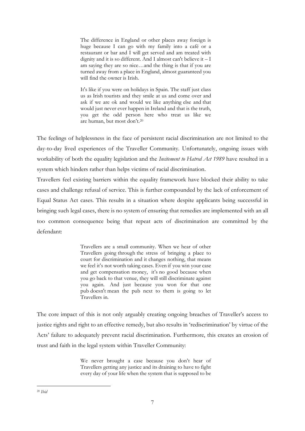The difference in England or other places away foreign is huge because I can go with my family into a café or a restaurant or bar and I will get served and am treated with dignity and it is so different. And I almost can't believe it – I am saying they are so nice…and the thing is that if you are turned away from a place in England, almost guaranteed you will find the owner is Irish.

It's like if you were on holidays in Spain. The staff just class us as Irish tourists and they smile at us and come over and ask if we are ok and would we like anything else and that would just never ever happen in Ireland and that is the truth, you get the odd person here who treat us like we are human, but most don't.<sup>20</sup>

The feelings of helplessness in the face of persistent racial discrimination are not limited to the day-to-day lived experiences of the Traveller Community. Unfortunately, ongoing issues with workability of both the equality legislation and the *Incitement to Hatred Act 1989* have resulted in a system which hinders rather than helps victims of racial discrimination.

Travellers feel existing barriers within the equality framework have blocked their ability to take cases and challenge refusal of service. This is further compounded by the lack of enforcement of Equal Status Act cases. This results in a situation where despite applicants being successful in bringing such legal cases, there is no system of ensuring that remedies are implemented with an all too common consequence being that repeat acts of discrimination are committed by the defendant:

> Travellers are a small community. When we hear of other Travellers going through the stress of bringing a place to court for discrimination and it changes nothing, that means we feel it's not worth taking cases. Even if you win your case and get compensation money, it's no good because when you go back to that venue, they will still discriminate against you again. And just because you won for that one pub doesn't mean the pub next to them is going to let Travellers in.

The core impact of this is not only arguably creating ongoing breaches of Traveller's access to justice rights and right to an effective remedy, but also results in 'rediscrimination' by virtue of the Acts' failure to adequately prevent racial discrimination. Furthermore, this creates an erosion of trust and faith in the legal system within Traveller Community:

> We never brought a case because you don't hear of Travellers getting any justice and its draining to have to fight every day of your life when the system that is supposed to be

<sup>20</sup> *Ibid*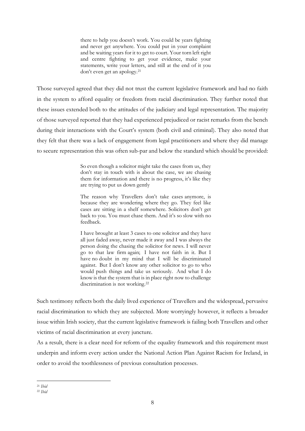there to help you doesn't work. You could be years fighting and never get anywhere. You could put in your complaint and be waiting years for it to get to court. Your torn left right and centre fighting to get your evidence, make your statements, write your letters, and still at the end of it you don't even get an apology.<sup>21</sup>

Those surveyed agreed that they did not trust the current legislative framework and had no faith in the system to afford equality or freedom from racial discrimination. They further noted that these issues extended both to the attitudes of the judiciary and legal representation. The majority of those surveyed reported that they had experienced prejudiced or racist remarks from the bench during their interactions with the Court's system (both civil and criminal). They also noted that they felt that there was a lack of engagement from legal practitioners and where they did manage to secure representation this was often sub-par and below the standard which should be provided:

> So even though a solicitor might take the cases from us, they don't stay in touch with is about the case, we are chasing them for information and there is no progress, it's like they are trying to put us down gently

> The reason why Travellers don't take cases anymore, is because they are wondering where they go. They feel like cases are sitting in a shelf somewhere. Solicitors don't get back to you. You must chase them. And it's so slow with no feedback.

> I have brought at least 3 cases to one solicitor and they have all just faded away, never made it away and I was always the person doing the chasing the solicitor for news. I will never go to that law firm again; I have not faith in it. But I have no doubt in my mind that I will be discriminated against. But I don't know any other solicitor to go to who would push things and take us seriously. And what I do know is that the system that is in place right now to challenge discrimination is not working.<sup>22</sup>

Such testimony reflects both the daily lived experience of Travellers and the widespread, pervasive racial discrimination to which they are subjected. More worryingly however, it reflects a broader issue within Irish society, that the current legislative framework is failing both Travellers and other victims of racial discrimination at every juncture.

As a result, there is a clear need for reform of the equality framework and this requirement must underpin and inform every action under the National Action Plan Against Racism for Ireland, in order to avoid the toothlessness of previous consultation processes.

<sup>21</sup> *Ibid*

<sup>22</sup> *Ibid*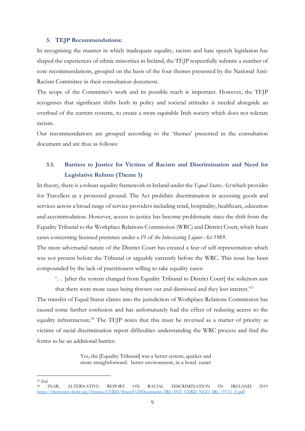#### **3. TEJP Recommendations:**

In recognising the manner in which inadequate equality, racism and hate speech legislation has shaped the experiences of ethnic minorities in Ireland, the TEJP respectfully submits a number of core recommendations, grouped on the basis of the four themes presented by the National Anti-Racism Committee in their consultation document.

The scope of the Committee's work and its possible reach is important. However, the TEJP recognises that significant shifts both in policy and societal attitudes is needed alongside an overhaul of the current systems, to create a more equitable Irish society which does not tolerate racism.

Our recommendations are grouped according to the 'themes' presented in the consultation document and are thus as follows:

## **3.1. Barriers to Justice for Victims of Racism and Discrimination and Need for Legislative Reform (Theme 1)**

In theory, there is a robust equality framework in Ireland under the *Equal Status Act* which provides for Travellers as a protected ground. The Act prohibits discrimination in accessing goods and services across a broad range of service providers including retail, hospitality, healthcare, education and accommodation. However, access to justice has become problematic since the shift from the Equality Tribunal to the Workplace Relations Commission (WRC) and District Court, which hears cases concerning licensed premises under s.19 of *the Intoxicating Liquor Act 1989*.

The more adversarial nature of the District Court has created a fear of self-representation which was not present before the Tribunal or arguably currently before the WRC. This issue has been compounded by the lack of practitioners willing to take equality cases:

'… [after the system changed from Equality Tribunal to District Court] the solicitors saw that there were more cases being thrown out and dismissed and they lost interest.'<sup>23</sup>

The transfer of Equal Status claims into the jurisdiction of Workplace Relations Commission has caused some further confusion and has unfortunately had the effect of reducing access to the equality infrastructure.<sup>24</sup> The TEJP notes that this must be reversed as a matter of priority as victims of racial discrimination report difficulties understanding the WRC process and find the forms to be an additional barrier:

> Yes, the [Equality Tribunal] was a better system, quicker and more straightforward. better environment, in a hotel. easier

<sup>23</sup> *Ibid.*

<sup>24</sup> INAR, ALTERNATIVE REPORT ON RACIAL DISCRIMINATION IN IRELAND 2019 [https://tbinternet.ohchr.org/Treaties/CERD/Shared%20Documents/IRL/INT\\_CERD\\_NGO\\_IRL\\_39711\\_E.pdf](https://tbinternet.ohchr.org/Treaties/CERD/Shared%20Documents/IRL/INT_CERD_NGO_IRL_39711_E.pdf)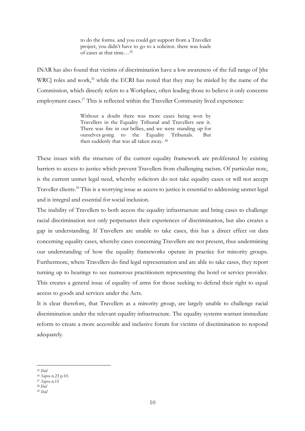to do the forms. and you could get support from a Traveller project, you didn't have to go to a solicitor. there was loads of cases at that time…<sup>25</sup>

INAR has also found that victims of discrimination have a low awareness of the full range of [the WRC] roles and work,<sup>26</sup> while the ECRI has noted that they may be misled by the name of the Commission, which directly refers to a Workplace, often leading those to believe it only concerns employment cases.<sup>27</sup> This is reflected within the Traveller Community lived experience:

> Without a doubt there was more cases being won by Travellers in the Equality Tribunal and Travellers saw it. There was fire in our bellies, and we were standing up for ourselves going to the Equality Tribunals. But then suddenly that was all taken away. <sup>28</sup>

These issues with the structure of the current equality framework are proliferated by existing barriers to access to justice which prevent Travellers from challenging racism. Of particular note, is the current unmet legal need, whereby solicitors do not take equality cases or will not accept Traveller clients.<sup>29</sup> This is a worrying issue as access to justice is essential to addressing unmet legal and is integral and essential for social inclusion.

The inability of Travellers to both access the equality infrastructure and bring cases to challenge racial discrimination not only perpetuates their experiences of discrimination, but also creates a gap in understanding. If Travellers are unable to take cases, this has a direct effect on data concerning equality cases, whereby cases concerning Travellers are not present, thus undermining our understanding of how the equality frameworks operate in practice for minority groups. Furthermore, where Travellers do find legal representation and are able to take cases, they report turning up to hearings to see numerous practitioners representing the hotel or service provider. This creates a general issue of equality of arms for those seeking to defend their right to equal access to goods and services under the Acts.

It is clear therefore, that Travellers as a minority group, are largely unable to challenge racial discrimination under the relevant equality infrastructure. The equality systems warrant immediate reform to create a more accessible and inclusive forum for victims of discrimination to respond adequately.

<sup>25</sup> *Ibid*

<sup>26</sup> *Supra* n.23 p.10.

<sup>27</sup> *Supra* n.15

<sup>28</sup> *Ibid*

<sup>29</sup> *Ibid*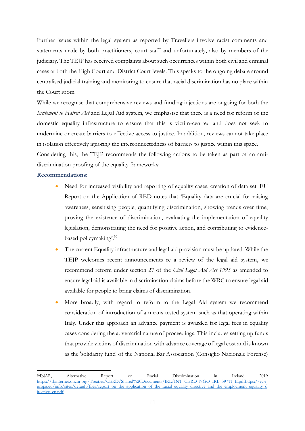Further issues within the legal system as reported by Travellers involve racist comments and statements made by both practitioners, court staff and unfortunately, also by members of the judiciary. The TEJP has received complaints about such occurrences within both civil and criminal cases at both the High Court and District Court levels. This speaks to the ongoing debate around centralised judicial training and monitoring to ensure that racial discrimination has no place within the Court room.

While we recognise that comprehensive reviews and funding injections are ongoing for both the *Incitement to Hatred Act* and Legal Aid system, we emphasise that there is a need for reform of the domestic equality infrastructure to ensure that this is victim-centred and does not seek to undermine or create barriers to effective access to justice. In addition, reviews cannot take place in isolation effectively ignoring the interconnectedness of barriers to justice within this space.

Considering this, the TEJP recommends the following actions to be taken as part of an antidiscrimination proofing of the equality frameworks:

#### **Recommendations:**

- Need for increased visibility and reporting of equality cases, creation of data set: EU Report on the Application of RED notes that 'Equality data are crucial for raising awareness, sensitising people, quantifying discrimination, showing trends over time, proving the existence of discrimination, evaluating the implementation of equality legislation, demonstrating the need for positive action, and contributing to evidencebased policymaking'. 30
- The current Equality infrastructure and legal aid provision must be updated. While the TEJP welcomes recent announcements re a review of the legal aid system, we recommend reform under section 27 of the *Civil Legal Aid Act 1995* as amended to ensure legal aid is available in discrimination claims before the WRC to ensure legal aid available for people to bring claims of discrimination.
- More broadly, with regard to reform to the Legal Aid system we recommend consideration of introduction of a means tested system such as that operating within Italy. Under this approach an advance payment is awarded for legal fees in equality cases considering the adversarial nature of proceedings. This includes setting up funds that provide victims of discrimination with advance coverage of legal cost and is known as the 'solidarity fund' of the National Bar Association (Consiglio Nazionale Forense)

<sup>30</sup>INAR, Alternative Report on Racial Discrimination in Ireland 2019 [https://tbinternet.ohchr.org/Treaties/CERD/Shared%20Documents/IRL/INT\\_CERD\\_NGO\\_IRL\\_39711\\_E.pdf](https://tbinternet.ohchr.org/Treaties/CERD/Shared%20Documents/IRL/INT_CERD_NGO_IRL_39711_E.pdf)[https://ec.e](https://ec.europa.eu/info/sites/default/files/report_on_the_application_of_the_racial_equality_directive_and_the_employment_equality_directive_en.pdf) [uropa.eu/info/sites/default/files/report\\_on\\_the\\_application\\_of\\_the\\_racial\\_equality\\_directive\\_and\\_the\\_employment\\_equality\\_d](https://ec.europa.eu/info/sites/default/files/report_on_the_application_of_the_racial_equality_directive_and_the_employment_equality_directive_en.pdf) [irective\\_en.pdf](https://ec.europa.eu/info/sites/default/files/report_on_the_application_of_the_racial_equality_directive_and_the_employment_equality_directive_en.pdf)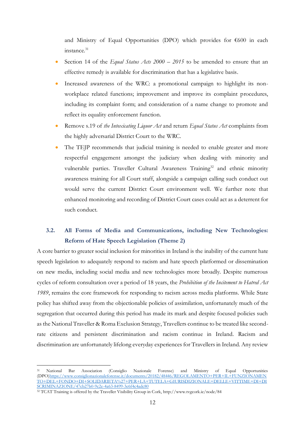and Ministry of Equal Opportunities (DPO) which provides for €600 in each instance.<sup>31</sup>

- Section 14 of the *Equal Status Acts 2000 – 2015* to be amended to ensure that an effective remedy is available for discrimination that has a legislative basis.
- Increased awareness of the WRC: a promotional campaign to highlight its nonworkplace related functions; improvement and improve its complaint procedures, including its complaint form; and consideration of a name change to promote and reflect its equality enforcement function.
- Remove s.19 of *the Intoxicating Liquor Act* and return *Equal Status Act* complaints from the highly adversarial District Court to the WRC.
- The TEJP recommends that judicial training is needed to enable greater and more respectful engagement amongst the judiciary when dealing with minority and vulnerable parties. Traveller Cultural Awareness Training<sup>32</sup> and ethnic minority awareness training for all Court staff, alongside a campaign calling such conduct out would serve the current District Court environment well. We further note that enhanced monitoring and recording of District Court cases could act as a deterrent for such conduct.

## **3.2. All Forms of Media and Communications, including New Technologies: Reform of Hate Speech Legislation (Theme 2)**

A core barrier to greater social inclusion for minorities in Ireland is the inability of the current hate speech legislation to adequately respond to racism and hate speech platformed or dissemination on new media, including social media and new technologies more broadly. Despite numerous cycles of reform consultation over a period of 18 years, the *Prohibition of the Incitement to Hatred Act 1989*, remains the core framework for responding to racism across media platforms. While State policy has shifted away from the objectionable policies of assimilation, unfortunately much of the segregation that occurred during this period has made its mark and despite focused policies such as the National Traveller & Roma Exclusion Strategy, Travellers continue to be treated like secondrate citizens and persistent discrimination and racism continue in Ireland. Racism and discrimination are unfortunately lifelong everyday experiences for Travellers in Ireland. Any review

<sup>31</sup> National Bar Association (Consiglio Nazionale Forense) and Ministry of Equal Opportunities (DPO[\)https://www.consiglionazionaleforense.it/documents/20182/48446/REGOLAMENTO+PER+IL+FUNZIONAMEN](https://www.consiglionazionaleforense.it/documents/20182/48446/REGOLAMENTO+PER+IL+FUNZIONAMENTO+DEL+FONDO+DI+SOLIDARIETA%27+PER+LA+TUTELA+GIURISDIZIONALE+DELLE+VITTIME+DI+DISCRIMINAZIONE/47cb27b0-9c2e-4a63-8499-3e6f4c4adc80) [TO+DEL+FONDO+DI+SOLIDARIETA%27+PER+LA+TUTELA+GIURISDIZIONALE+DELLE+VITTIME+DI+DI](https://www.consiglionazionaleforense.it/documents/20182/48446/REGOLAMENTO+PER+IL+FUNZIONAMENTO+DEL+FONDO+DI+SOLIDARIETA%27+PER+LA+TUTELA+GIURISDIZIONALE+DELLE+VITTIME+DI+DISCRIMINAZIONE/47cb27b0-9c2e-4a63-8499-3e6f4c4adc80) [SCRIMINAZIONE/47cb27b0-9c2e-4a63-8499-3e6f4c4adc80](https://www.consiglionazionaleforense.it/documents/20182/48446/REGOLAMENTO+PER+IL+FUNZIONAMENTO+DEL+FONDO+DI+SOLIDARIETA%27+PER+LA+TUTELA+GIURISDIZIONALE+DELLE+VITTIME+DI+DISCRIMINAZIONE/47cb27b0-9c2e-4a63-8499-3e6f4c4adc80)

<sup>32</sup> TCAT Training is offered by the Traveller Visibility Group in Cork, http://www.tvgcork.ie/node/84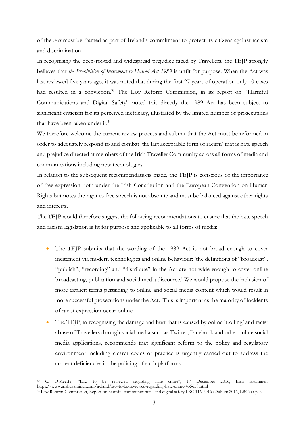of the *Act* must be framed as part of Ireland's commitment to protect its citizens against racism and discrimination.

In recognising the deep-rooted and widespread prejudice faced by Travellers, the TEJP strongly believes that *the Prohibition of Incitement to Hatred Act 1989* is unfit for purpose. When the Act was last reviewed five years ago, it was noted that during the first 27 years of operation only 10 cases had resulted in a conviction.<sup>33</sup> The Law Reform Commission, in its report on "Harmful Communications and Digital Safety" noted this directly the 1989 Act has been subject to significant criticism for its perceived inefficacy, illustrated by the limited number of prosecutions that have been taken under it.<sup>34</sup>

We therefore welcome the current review process and submit that the Act must be reformed in order to adequately respond to and combat 'the last acceptable form of racism' that is hate speech and prejudice directed at members of the Irish Traveller Community across all forms of media and communications including new technologies.

In relation to the subsequent recommendations made, the TEJP is conscious of the importance of free expression both under the Irish Constitution and the European Convention on Human Rights but notes the right to free speech is not absolute and must be balanced against other rights and interests.

The TEJP would therefore suggest the following recommendations to ensure that the hate speech and racism legislation is fit for purpose and applicable to all forms of media:

- The TEJP submits that the wording of the 1989 Act is not broad enough to cover incitement via modern technologies and online behaviour: 'the definitions of "broadcast", "publish", "recording" and "distribute" in the Act are not wide enough to cover online broadcasting, publication and social media discourse.' We would propose the inclusion of more explicit terms pertaining to online and social media content which would result in more successful prosecutions under the Act. This is important as the majority of incidents of racist expression occur online.
- The TEJP, in recognising the damage and hurt that is caused by online 'trolling' and racist abuse of Travellers through social media such as Twitter, Facebook and other online social media applications, recommends that significant reform to the policy and regulatory environment including clearer codes of practice is urgently carried out to address the current deficiencies in the policing of such platforms.

<sup>33</sup> C. O'Keeffe, "Law to be reviewed regarding hate crime", 17 December 2016, Irish Examiner. https://www.irishexaminer.com/ireland/law-to-be-reviewed-regarding-hate-crime-435659.html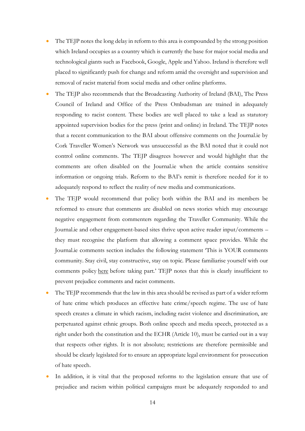- The TEJP notes the long delay in reform to this area is compounded by the strong position which Ireland occupies as a country which is currently the base for major social media and technological giants such as Facebook, Google, Apple and Yahoo. Ireland is therefore well placed to significantly push for change and reform amid the oversight and supervision and removal of racist material from social media and other online platforms.
- The TEJP also recommends that the Broadcasting Authority of Ireland (BAI), The Press Council of Ireland and Office of the Press Ombudsman are trained in adequately responding to racist content. These bodies are well placed to take a lead as statutory appointed supervision bodies for the press (print and online) in Ireland. The TEJP notes that a recent communication to the BAI about offensive comments on the Journal.ie by Cork Traveller Women's Network was unsuccessful as the BAI noted that it could not control online comments. The TEJP disagrees however and would highlight that the comments are often disabled on the Journal.ie when the article contains sensitive information or ongoing trials. Reform to the BAI's remit is therefore needed for it to adequately respond to reflect the reality of new media and communications.
- The TEJP would recommend that policy both within the BAI and its members be reformed to ensure that comments are disabled on news stories which may encourage negative engagement from commenters regarding the Traveller Community. While the Journal.ie and other engagement-based sites thrive upon active reader input/comments – they must recognise the platform that allowing a comment space provides. While the Journal.ie comments section includes the following statement 'This is YOUR comments community. Stay civil, stay constructive, stay on topic. Please familiarise yourself with our comments policy [here](https://www.thejournal.ie/comments-policy/#_blank) before taking part.' TEJP notes that this is clearly insufficient to prevent prejudice comments and racist comments.
- The TEJP recommends that the law in this area should be revised as part of a wider reform of hate crime which produces an effective hate crime/speech regime. The use of hate speech creates a climate in which racism, including racist violence and discrimination, are perpetuated against ethnic groups. Both online speech and media speech, protected as a right under both the constitution and the ECHR (Article 10), must be carried out in a way that respects other rights. It is not absolute; restrictions are therefore permissible and should be clearly legislated for to ensure an appropriate legal environment for prosecution of hate speech.
- In addition, it is vital that the proposed reforms to the legislation ensure that use of prejudice and racism within political campaigns must be adequately responded to and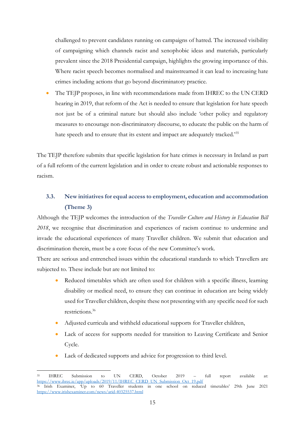challenged to prevent candidates running on campaigns of hatred. The increased visibility of campaigning which channels racist and xenophobic ideas and materials, particularly prevalent since the 2018 Presidential campaign, highlights the growing importance of this. Where racist speech becomes normalised and mainstreamed it can lead to increasing hate crimes including actions that go beyond discriminatory practice.

• The TEJP proposes, in line with recommendations made from IHREC to the UN CERD hearing in 2019, that reform of the Act is needed to ensure that legislation for hate speech not just be of a criminal nature but should also include 'other policy and regulatory measures to encourage non-discriminatory discourse, to educate the public on the harm of hate speech and to ensure that its extent and impact are adequately tracked.'<sup>35</sup>

The TEJP therefore submits that specific legislation for hate crimes is necessary in Ireland as part of a full reform of the current legislation and in order to create robust and actionable responses to racism.

## **3.3. New initiatives for equal access to employment, education and accommodation (Theme 3)**

Although the TEJP welcomes the introduction of the *Traveller Culture and History in Education Bill 2018*, we recognise that discrimination and experiences of racism continue to undermine and invade the educational experiences of many Traveller children. We submit that education and discrimination therein, must be a core focus of the new Committee's work.

There are serious and entrenched issues within the educational standards to which Travellers are subjected to. These include but are not limited to:

- Reduced timetables which are often used for children with a specific illness, learning disability or medical need, to ensure they can continue in education are being widely used for Traveller children, despite these not presenting with any specific need for such restrictions.<sup>36</sup>
- Adjusted curricula and withheld educational supports for Traveller children,
- Lack of access for supports needed for transition to Leaving Certificate and Senior Cycle.
- Lack of dedicated supports and advice for progression to third level.

<sup>35</sup> IHREC Submission to UN CERD, October 2019 – full report available at: [https://www.ihrec.ie/app/uploads/2019/11/IHREC\\_CERD\\_UN\\_Submission\\_Oct\\_19.pdf](https://www.ihrec.ie/app/uploads/2019/11/IHREC_CERD_UN_Submission_Oct_19.pdf)<br><sup>36</sup> Irish Examiner, 'Up to 60 Traveller students in one school on reduce in one school on reduced timetables' 29th June 2021 <https://www.irishexaminer.com/news/arid-40325537.html>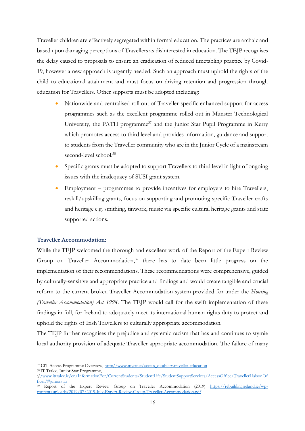Traveller children are effectively segregated within formal education. The practices are archaic and based upon damaging perceptions of Travellers as disinterested in education. The TEJP recognises the delay caused to proposals to ensure an eradication of reduced timetabling practice by Covid-19, however a new approach is urgently needed. Such an approach must uphold the rights of the child to educational attainment and must focus on driving retention and progression through education for Travellers. Other supports must be adopted including:

- Nationwide and centralised roll out of Traveller-specific enhanced support for access programmes such as the excellent programme rolled out in Munster Technological University, the PATH programme<sup>37</sup> and the Junior Star Pupil Programme in Kerry which promotes access to third level and provides information, guidance and support to students from the Traveller community who are in the Junior Cycle of a mainstream second-level school.<sup>38</sup>
- Specific grants must be adopted to support Travellers to third level in light of ongoing issues with the inadequacy of SUSI grant system.
- Employment programmes to provide incentives for employers to hire Travellers, reskill/upskilling grants, focus on supporting and promoting specific Traveller crafts and heritage e.g. smithing, tinwork, music via specific cultural heritage grants and state supported actions.

## **Traveller Accommodation:**

While the TEJP welcomed the thorough and excellent work of the Report of the Expert Review Group on Traveller Accommodation,<sup>39</sup> there has to date been little progress on the implementation of their recommendations. These recommendations were comprehensive, guided by culturally-sensitive and appropriate practice and findings and would create tangible and crucial reform to the current broken Traveller Accommodation system provided for under the *Housing (Traveller Accommodation) Act 1998*. The TEJP would call for the swift implementation of these findings in full, for Ireland to adequately meet its international human rights duty to protect and uphold the rights of Irish Travellers to culturally appropriate accommodation.

The TEJP further recognises the prejudice and systemic racism that has and continues to stymie local authority provision of adequate Traveller appropriate accommodation. The failure of many

<sup>38</sup> IT Tralee, Junior Star Programme,

<sup>37</sup> CIT Access Programme Overview, [http://www.mycit.ie/access\\_disability.traveller-education](http://www.mycit.ie/access_disability.traveller-education)

<sup>://</sup>www.ittralee.ie/en/InformationFor/CurrentStudents/StudentLife/StudentSupportServices/AccessOffice/TravellerLiaisonOf ficer/#juniorstar

<sup>39</sup> Report of the Expert Review Group on Traveller Accommodation (2019) [https://rebuildingireland.ie/wp](https://rebuildingireland.ie/wp-content/uploads/2019/07/2019-July-Expert-Review-Group-Traveller-Accommodation.pdf)[content/uploads/2019/07/2019-July-Expert-Review-Group-Traveller-Accommodation.pdf](https://rebuildingireland.ie/wp-content/uploads/2019/07/2019-July-Expert-Review-Group-Traveller-Accommodation.pdf)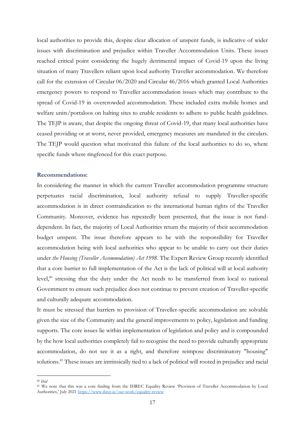local authorities to provide this, despite clear allocation of unspent funds, is indicative of wider issues with discrimination and prejudice within Traveller Accommodation Units. These issues reached critical point considering the hugely detrimental impact of Covid-19 upon the living situation of many Travellers reliant upon local authority Traveller accommodation. We therefore call for the extension of Circular 06/2020 and Circular 46/2016 which granted Local Authorities emergency powers to respond to Traveller accommodation issues which may contribute to the spread of Covid-19 in overcrowded accommodation. These included extra mobile homes and welfare units/portaloos on halting sites to enable residents to adhere to public health guidelines. The TEJP is aware, that despite the ongoing threat of Covid-19, that many local authorities have ceased providing or at worst, never provided, emergency measures are mandated in the circulars. The TEJP would question what motivated this failure of the local authorities to do so, where specific funds where ringfenced for this exact purpose.

#### **Recommendations:**

In considering the manner in which the current Traveller accommodation programme structure perpetuates racial discrimination, local authority refusal to supply Traveller-specific accommodation is in direct contraindication to the international human rights of the Traveller Community. Moreover, evidence has repeatedly been presented, that the issue is not funddependent. In fact, the majority of Local Authorities return the majority of their accommodation budget unspent. The issue therefore appears to be with the responsibility for Traveller accommodation being with local authorities who appear to be unable to carry out their duties under *the Housing (Traveller Accommodation) Act 1998*. The Expert Review Group recently identified that a core barrier to full implementation of the Act is the lack of political will at local authority level,<sup>40</sup> stressing that the duty under the Act needs to be transferred from local to national Government to ensure such prejudice does not continue to prevent creation of Traveller-specific and culturally adequate accommodation.

It must be stressed that barriers to provision of Traveller-specific accommodation are solvable given the size of the Community and the general improvements to policy, legislation and funding supports. The core issues lie within implementation of legislation and policy and is compounded by the how local authorities completely fail to recognise the need to provide culturally appropriate accommodation, do not see it as a right, and therefore reimpose discriminatory "housing" solutions. <sup>41</sup> These issues are intrinsically tied to a lack of political will rooted in prejudice and racial

<sup>40</sup> *Ibid* 

<sup>41</sup> We note that this was a core finding from the IHREC Equality Review 'Provision of Traveller Accommodation by Local Authorities,' July 2021<https://www.ihrec.ie/our-work/equality-review>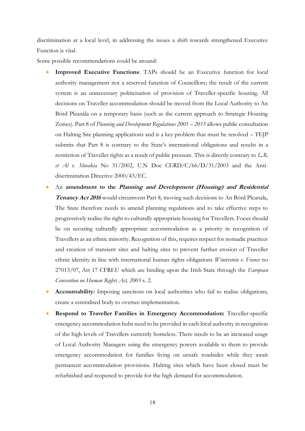discrimination at a local level, in addressing the issues a shift towards strengthened Executive Function is vital.

Some possible recommendations could be around:

- **Improved Executive Functions**: TAPs should be an Executive function for local authority management not a reserved function of Councillors; the result of the current system is an unnecessary politicisation of provision of Traveller-specific housing. All decisions on Traveller accommodation should be moved from the Local Authority to An Bórd Pleanála on a temporary basis (such as the current approach to Strategic Housing Zones). Part 8 of *Planning and Development Regulations 2001 – 2015* allows public consultation on Halting Site planning applications and is a key problem that must be resolved – TEJP submits that Part 8 is contrary to the State's international obligations and results in a restriction of Traveller rights as a result of public pressure. This is directly contrary to *L.R. et Al v. Slovakia* No 31/2002, U.N Doc CERD/C/66/D/31/2003 and the Antidiscrimination Directive 2000/43/EC.
- An **amendment to the Planning and Development (Housing) and Residential Tenancy Act 2016** would circumvent Part 8, moving such decisions to An Bórd Pleanala, The State therefore needs to amend planning regulations and to take effective steps to progressively realise the right to culturally appropriate housing for Travellers. Focus should lie on securing culturally appropriate accommodation as a priority in recognition of Travellers as an ethnic minority. Recognition of this, requires respect for nomadic practices and creation of transient sites and halting sites to prevent further erosion of Traveller ethnic identity in line with international human rights obligations *Winterstein v. France* no 27013/07, Art 17 CFREU which are binding upon the Irish State through the *European Convention on Human Rights Act, 2003* s. 2.
- **Accountability:** Imposing sanctions on local authorities who fail to realise obligations, create a centralised body to oversee implementation.
- **Respond to Traveller Families in Emergency Accommodation:** Traveller-specific emergency accommodation hubs need to be provided in each local authority in recognition of the high-levels of Travellers currently homeless. There needs to be an increased usage of Local Authority Managers using the emergency powers available to them to provide emergency accommodation for families living on unsafe roadsides while they await permanent accommodation provisions. Halting sites which have been closed must be refurbished and reopened to provide for the high demand for accommodation.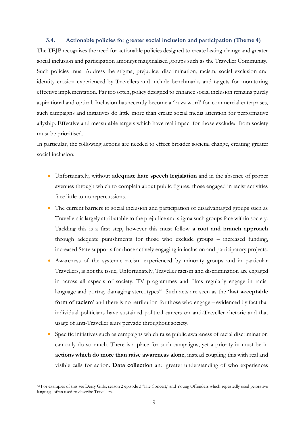#### **3.4. Actionable policies for greater social inclusion and participation (Theme 4)**

The TEJP recognises the need for actionable policies designed to create lasting change and greater social inclusion and participation amongst marginalised groups such as the Traveller Community. Such policies must Address the stigma, prejudice, discrimination, racism, social exclusion and identity erosion experienced by Travellers and include benchmarks and targets for monitoring effective implementation. Far too often, policy designed to enhance social inclusion remains purely aspirational and optical. Inclusion has recently become a 'buzz word' for commercial enterprises, such campaigns and initiatives do little more than create social media attention for performative allyship. Effective and measurable targets which have real impact for those excluded from society must be prioritised.

In particular, the following actions are needed to effect broader societal change, creating greater social inclusion:

- Unfortunately, without **adequate hate speech legislation** and in the absence of proper avenues through which to complain about public figures, those engaged in racist activities face little to no repercussions.
- The current barriers to social inclusion and participation of disadvantaged groups such as Travellers is largely attributable to the prejudice and stigma such groups face within society. Tackling this is a first step, however this must follow **a root and branch approach** through adequate punishments for those who exclude groups – increased funding, increased State supports for those actively engaging in inclusion and participatory projects.
- Awareness of the systemic racism experienced by minority groups and in particular Travellers, is not the issue, Unfortunately, Traveller racism and discrimination are engaged in across all aspects of society. TV programmes and films regularly engage in racist language and portray damaging stereotypes<sup>42</sup>. Such acts are seen as the *'last acceptable* **form of racism**' and there is no retribution for those who engage – evidenced by fact that individual politicians have sustained political careers on anti-Traveller rhetoric and that usage of anti-Traveller slurs pervade throughout society.
- Specific initiatives such as campaigns which raise public awareness of racial discrimination can only do so much. There is a place for such campaigns, yet a priority in must be in **actions which do more than raise awareness alone**, instead coupling this with real and visible calls for action. **Data collection** and greater understanding of who experiences

<sup>42</sup> For examples of this see Derry Girls, season 2 episode 3 'The Concert,' and Young Offenders which repeatedly used pejorative language often used to describe Travellers.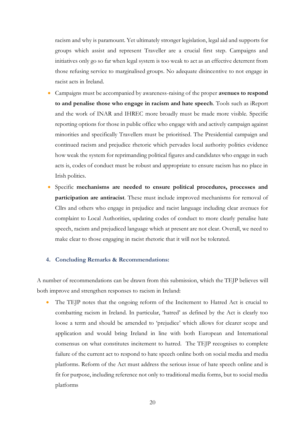racism and why is paramount. Yet ultimately stronger legislation, legal aid and supports for groups which assist and represent Traveller are a crucial first step. Campaigns and initiatives only go so far when legal system is too weak to act as an effective deterrent from those refusing service to marginalised groups. No adequate disincentive to not engage in racist acts in Ireland.

- Campaigns must be accompanied by awareness-raising of the proper **avenues to respond to and penalise those who engage in racism and hate speech**. Tools such as iReport and the work of INAR and IHREC more broadly must be made more visible. Specific reporting options for those in public office who engage with and actively campaign against minorities and specifically Travellers must be prioritised. The Presidential campaign and continued racism and prejudice rhetoric which pervades local authority politics evidence how weak the system for reprimanding political figures and candidates who engage in such acts is, codes of conduct must be robust and appropriate to ensure racism has no place in Irish politics.
- Specific **mechanisms are needed to ensure political procedures, processes and participation are antiracist**. These must include improved mechanisms for removal of Cllrs and others who engage in prejudice and racist language including clear avenues for complaint to Local Authorities, updating codes of conduct to more clearly penalise hate speech, racism and prejudiced language which at present are not clear. Overall, we need to make clear to those engaging in racist rhetoric that it will not be tolerated.

### **4. Concluding Remarks & Recommendations:**

A number of recommendations can be drawn from this submission, which the TEJP believes will both improve and strengthen responses to racism in Ireland:

The TEJP notes that the ongoing reform of the Incitement to Hatred Act is crucial to combatting racism in Ireland. In particular, 'hatred' as defined by the Act is clearly too loose a term and should be amended to 'prejudice' which allows for clearer scope and application and would bring Ireland in line with both European and International consensus on what constitutes incitement to hatred. The TEJP recognises to complete failure of the current act to respond to hate speech online both on social media and media platforms. Reform of the Act must address the serious issue of hate speech online and is fit for purpose, including reference not only to traditional media forms, but to social media platforms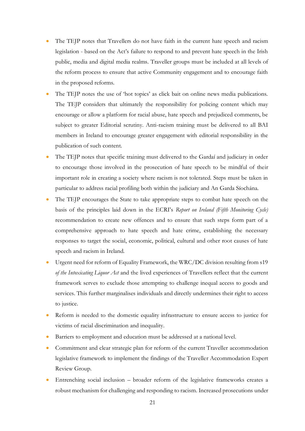- The TEJP notes that Travellers do not have faith in the current hate speech and racism legislation - based on the Act's failure to respond to and prevent hate speech in the Irish public, media and digital media realms. Traveller groups must be included at all levels of the reform process to ensure that active Community engagement and to encourage faith in the proposed reforms.
- The TEJP notes the use of 'hot topics' as click bait on online news media publications. The TEJP considers that ultimately the responsibility for policing content which may encourage or allow a platform for racial abuse, hate speech and prejudiced comments, be subject to greater Editorial scrutiny. Anti-racism training must be delivered to all BAI members in Ireland to encourage greater engagement with editorial responsibility in the publication of such content.
- The TEJP notes that specific training must delivered to the Gardaí and judiciary in order to encourage those involved in the prosecution of hate speech to be mindful of their important role in creating a society where racism is not tolerated. Steps must be taken in particular to address racial profiling both within the judiciary and An Garda Síochána.
- The TEJP encourages the State to take appropriate steps to combat hate speech on the basis of the principles laid down in the ECRI's *Report on Ireland (Fifth Monitoring Cycle)* recommendation to create new offences and to ensure that such steps form part of a comprehensive approach to hate speech and hate crime, establishing the necessary responses to target the social, economic, political, cultural and other root causes of hate speech and racism in Ireland.
- Urgent need for reform of Equality Framework, the WRC/DC division resulting from s19 *of the Intoxicating Liquor Act* and the lived experiences of Travellers reflect that the current framework serves to exclude those attempting to challenge inequal access to goods and services. This further marginalises individuals and directly undermines their right to access to justice.
- Reform is needed to the domestic equality infrastructure to ensure access to justice for victims of racial discrimination and inequality.
- Barriers to employment and education must be addressed at a national level.
- Commitment and clear strategic plan for reform of the current Traveller accommodation legislative framework to implement the findings of the Traveller Accommodation Expert Review Group.
- Entrenching social inclusion broader reform of the legislative frameworks creates a robust mechanism for challenging and responding to racism. Increased prosecutions under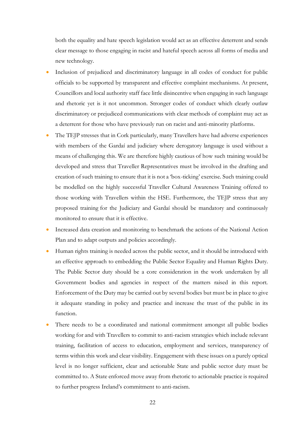both the equality and hate speech legislation would act as an effective deterrent and sends clear message to those engaging in racist and hateful speech across all forms of media and new technology.

- Inclusion of prejudiced and discriminatory language in all codes of conduct for public officials to be supported by transparent and effective complaint mechanisms. At present, Councillors and local authority staff face little disincentive when engaging in such language and rhetoric yet is it not uncommon. Stronger codes of conduct which clearly outlaw discriminatory or prejudiced communications with clear methods of complaint may act as a deterrent for those who have previously run on racist and anti-minority platforms.
- The TEJP stresses that in Cork particularly, many Travellers have had adverse experiences with members of the Gardaí and judiciary where derogatory language is used without a means of challenging this. We are therefore highly cautious of how such training would be developed and stress that Traveller Representatives must be involved in the drafting and creation of such training to ensure that it is not a 'box-ticking' exercise. Such training could be modelled on the highly successful Traveller Cultural Awareness Training offered to those working with Travellers within the HSE. Furthermore, the TEJP stress that any proposed training for the Judiciary and Gardaí should be mandatory and continuously monitored to ensure that it is effective.
- Increased data creation and monitoring to benchmark the actions of the National Action Plan and to adapt outputs and policies accordingly.
- Human rights training is needed across the public sector, and it should be introduced with an effective approach to embedding the Public Sector Equality and Human Rights Duty. The Public Sector duty should be a core consideration in the work undertaken by all Government bodies and agencies in respect of the matters raised in this report. Enforcement of the Duty may be carried out by several bodies but must be in place to give it adequate standing in policy and practice and increase the trust of the public in its function.
- There needs to be a coordinated and national commitment amongst all public bodies working for and with Travellers to commit to anti-racism strategies which include relevant training, facilitation of access to education, employment and services, transparency of terms within this work and clear visibility. Engagement with these issues on a purely optical level is no longer sufficient, clear and actionable State and public sector duty must be committed to. A State enforced move away from rhetoric to actionable practice is required to further progress Ireland's commitment to anti-racism.